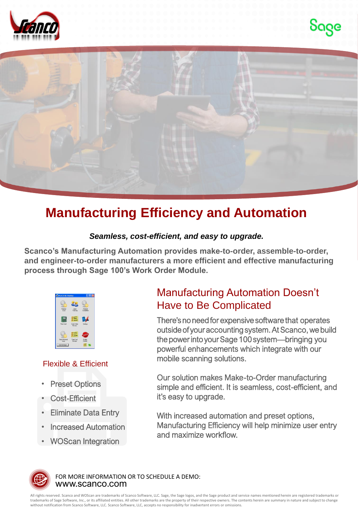





## **Manufacturing Efficiency and Automation**

## *Seamless, cost-efficient, and easy to upgrade.*

**Scanco's Manufacturing Automation provides make-to-order, assemble-to-order, and engineer-to-order manufacturers a more efficient and effective manufacturing process through Sage 100's Work Order Module.** 



## Flexible & Efficient

- **Preset Options**
- Cost-Efficient
- Eliminate Data Entry
- Increased Automation
- WOScan Integration

## Manufacturing Automation Doesn't Have to Be Complicated

There'sno needfor expensive software that operates outside of your accounting system. At Scanco, we build the power into your Sage 100 system—bringing you powerful enhancements which integrate with our mobile scanning solutions.

Our solution makes Make-to-Order manufacturing simple and efficient. It is seamless, cost-efficient, and it's easy to upgrade.

With increased automation and preset options, Manufacturing Efficiency will help minimize user entry and maximize workflow.



www.scanco.com FOR MORE INFORMATION OR TO SCHEDULE A DEMO:

All rights reserved. Scanco and WOScan are trademarks of Scanco Software, LLC. Sage, the Sage logos, and the Sage product and service names mentioned herein are registered trademarks or<br>trademarks of Sage Software, Inc., o without notification from Scanco Software, LLC. Scanco Software, LLC, accepts no responsibility for inadvertent errors or omissions.